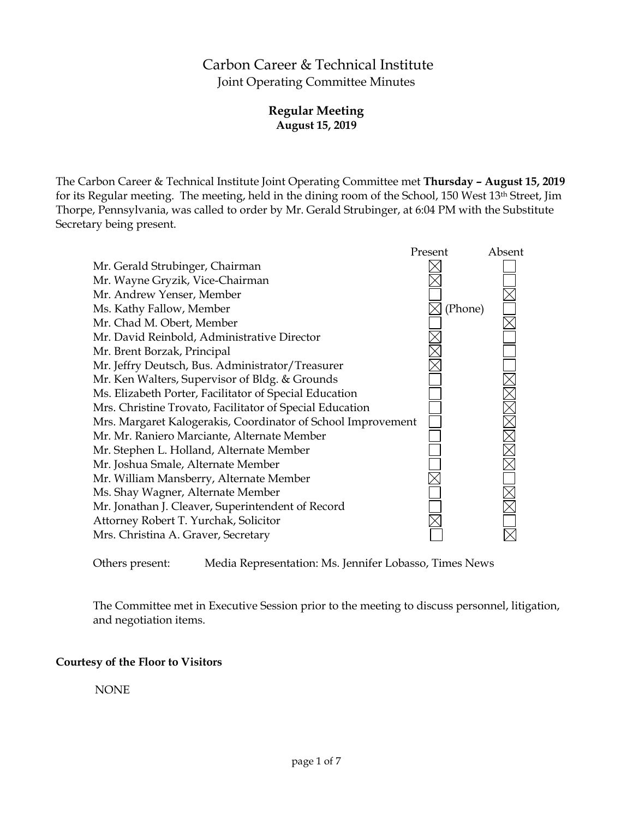# Carbon Career & Technical Institute Joint Operating Committee Minutes

# **Regular Meeting August 15, 2019**

The Carbon Career & Technical Institute Joint Operating Committee met **Thursday – August 15, 2019** for its Regular meeting. The meeting, held in the dining room of the School, 150 West 13th Street, Jim Thorpe, Pennsylvania, was called to order by Mr. Gerald Strubinger, at 6:04 PM with the Substitute Secretary being present.



Others present: Media Representation: Ms. Jennifer Lobasso, Times News

The Committee met in Executive Session prior to the meeting to discuss personnel, litigation, and negotiation items.

## **Courtesy of the Floor to Visitors**

NONE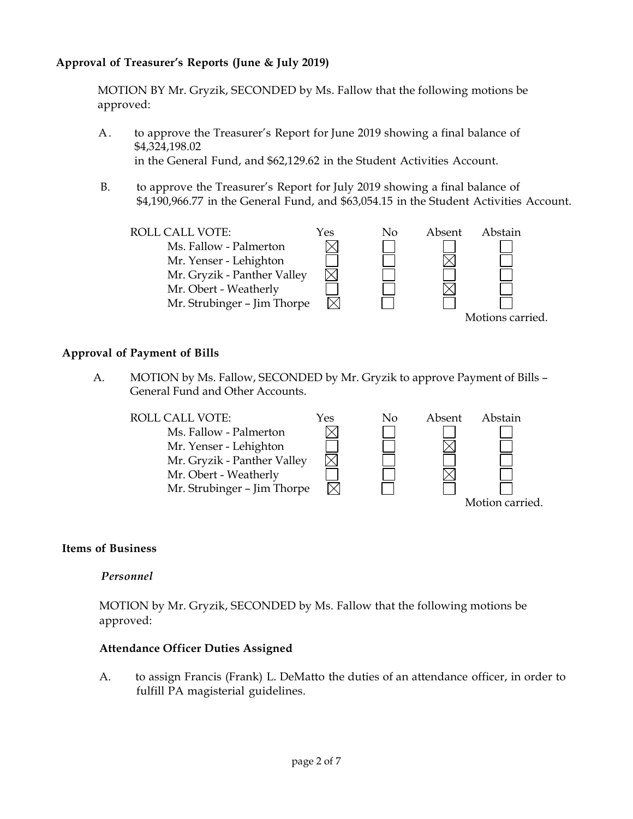# **Approval of Treasurer's Reports (June & July 2019)**

MOTION BY Mr. Gryzik, SECONDED by Ms. Fallow that the following motions be approved:

- A. to approve the Treasurer's Report for June 2019 showing a final balance of \$4,324,198.02 in the General Fund, and \$62,129.62 in the Student Activities Account.
- B. to approve the Treasurer's Report for July 2019 showing a final balance of \$4,190,966.77 in the General Fund, and \$63,054.15 in the Student Activities Account.



### **Approval of Payment of Bills**

A. MOTION by Ms. Fallow, SECONDED by Mr. Gryzik to approve Payment of Bills – General Fund and Other Accounts.



### **Items of Business**

#### *Personnel*

MOTION by Mr. Gryzik, SECONDED by Ms. Fallow that the following motions be approved:

#### **Attendance Officer Duties Assigned**

A. to assign Francis (Frank) L. DeMatto the duties of an attendance officer, in order to fulfill PA magisterial guidelines.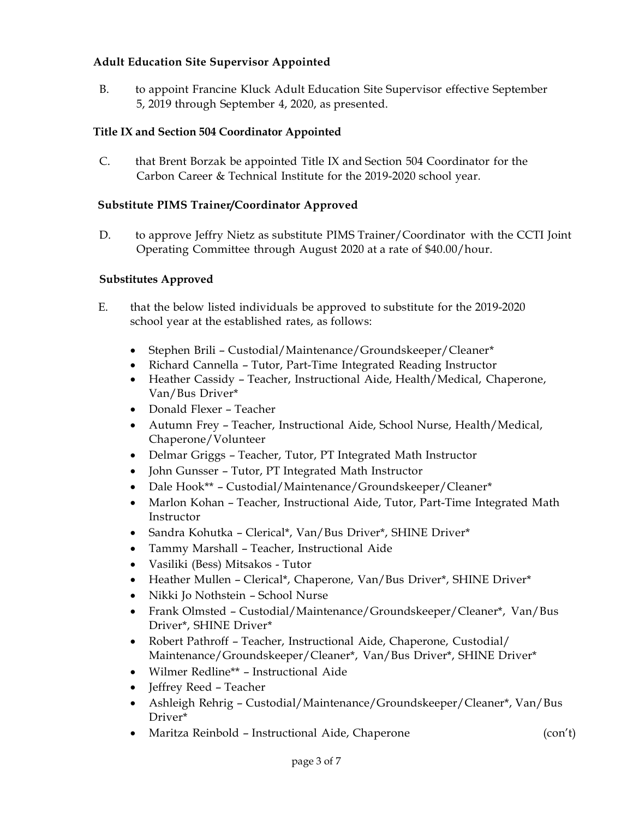### **Adult Education Site Supervisor Appointed**

B. to appoint Francine Kluck Adult Education Site Supervisor effective September 5, 2019 through September 4, 2020, as presented.

### **Title IX and Section 504 Coordinator Appointed**

C. that Brent Borzak be appointed Title IX and Section 504 Coordinator for the Carbon Career & Technical Institute for the 2019-2020 school year.

### **Substitute PIMS Trainer/Coordinator Approved**

D. to approve Jeffry Nietz as substitute PIMS Trainer/Coordinator with the CCTI Joint Operating Committee through August 2020 at a rate of \$40.00/hour.

### **Substitutes Approved**

- E. that the below listed individuals be approved to substitute for the 2019-2020 school year at the established rates, as follows:
	- Stephen Brili Custodial/Maintenance/Groundskeeper/Cleaner\*
	- Richard Cannella Tutor, Part-Time Integrated Reading Instructor
	- Heather Cassidy Teacher, Instructional Aide, Health/Medical, Chaperone, Van/Bus Driver\*
	- Donald Flexer Teacher
	- Autumn Frey Teacher, Instructional Aide, School Nurse, Health/Medical, Chaperone/Volunteer
	- Delmar Griggs Teacher, Tutor, PT Integrated Math Instructor
	- John Gunsser Tutor, PT Integrated Math Instructor
	- Dale Hook\*\* Custodial/Maintenance/Groundskeeper/Cleaner\*
	- Marlon Kohan Teacher, Instructional Aide, Tutor, Part-Time Integrated Math Instructor
	- Sandra Kohutka Clerical\*, Van/Bus Driver\*, SHINE Driver\*
	- Tammy Marshall Teacher, Instructional Aide
	- Vasiliki (Bess) Mitsakos Tutor
	- Heather Mullen Clerical\*, Chaperone, Van/Bus Driver\*, SHINE Driver\*
	- Nikki Jo Nothstein School Nurse
	- Frank Olmsted Custodial/Maintenance/Groundskeeper/Cleaner\*, Van/Bus Driver\*, SHINE Driver\*
	- Robert Pathroff Teacher, Instructional Aide, Chaperone, Custodial/ Maintenance/Groundskeeper/Cleaner\*, Van/Bus Driver\*, SHINE Driver\*
	- Wilmer Redline\*\* Instructional Aide
	- Jeffrey Reed Teacher
	- Ashleigh Rehrig Custodial/Maintenance/Groundskeeper/Cleaner\*, Van/Bus Driver\*
	- Maritza Reinbold Instructional Aide, Chaperone (con't)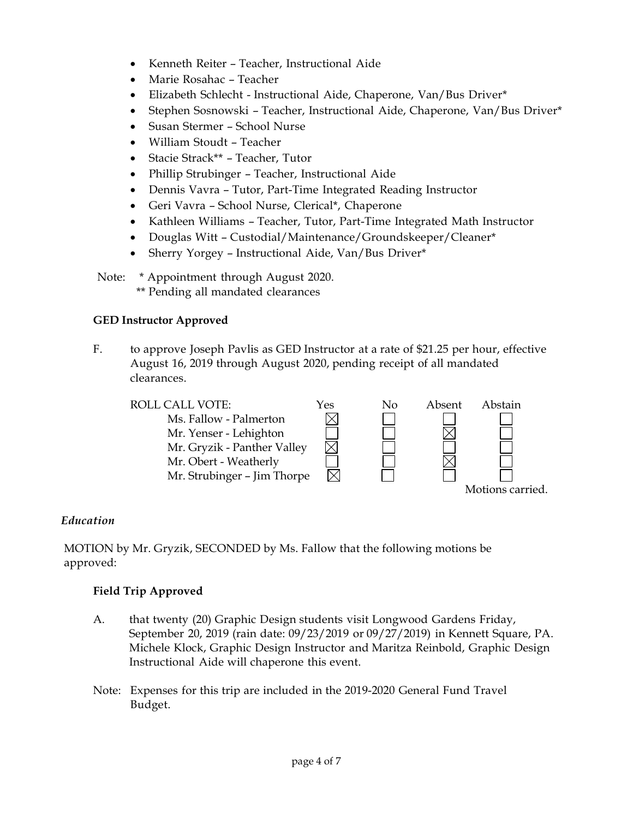- Kenneth Reiter Teacher, Instructional Aide
- Marie Rosahac Teacher
- Elizabeth Schlecht Instructional Aide, Chaperone, Van/Bus Driver\*
- Stephen Sosnowski Teacher, Instructional Aide, Chaperone, Van/Bus Driver\*
- Susan Stermer School Nurse
- William Stoudt Teacher
- Stacie Strack\*\* Teacher, Tutor
- Phillip Strubinger Teacher, Instructional Aide
- Dennis Vavra Tutor, Part-Time Integrated Reading Instructor
- Geri Vavra School Nurse, Clerical\*, Chaperone
- Kathleen Williams Teacher, Tutor, Part-Time Integrated Math Instructor
- Douglas Witt Custodial/Maintenance/Groundskeeper/Cleaner\*
- Sherry Yorgey Instructional Aide, Van/Bus Driver\*

Note: \* Appointment through August 2020.

\*\* Pending all mandated clearances

## **GED Instructor Approved**

F. to approve Joseph Pavlis as GED Instructor at a rate of \$21.25 per hour, effective August 16, 2019 through August 2020, pending receipt of all mandated clearances.



## *Education*

MOTION by Mr. Gryzik, SECONDED by Ms. Fallow that the following motions be approved:

# **Field Trip Approved**

- A. that twenty (20) Graphic Design students visit Longwood Gardens Friday, September 20, 2019 (rain date: 09/23/2019 or 09/27/2019) in Kennett Square, PA. Michele Klock, Graphic Design Instructor and Maritza Reinbold, Graphic Design Instructional Aide will chaperone this event.
- Note: Expenses for this trip are included in the 2019-2020 General Fund Travel Budget.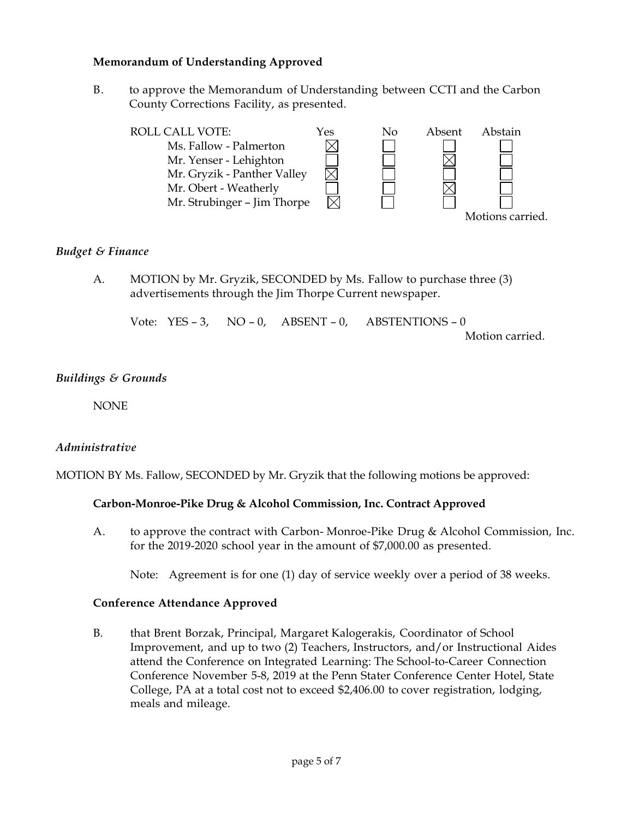#### **Memorandum of Understanding Approved**

B. to approve the Memorandum of Understanding between CCTI and the Carbon County Corrections Facility, as presented.



### *Budget & Finance*

A. MOTION by Mr. Gryzik, SECONDED by Ms. Fallow to purchase three (3) advertisements through the Jim Thorpe Current newspaper.

Vote: YES – 3, NO – 0, ABSENT – 0, ABSTENTIONS – 0 Motion carried.

#### *Buildings & Grounds*

**NONE** 

## *Administrative*

MOTION BY Ms. Fallow, SECONDED by Mr. Gryzik that the following motions be approved:

#### **Carbon-Monroe-Pike Drug & Alcohol Commission, Inc. Contract Approved**

A. to approve the contract with Carbon- Monroe-Pike Drug & Alcohol Commission, Inc. for the 2019-2020 school year in the amount of \$7,000.00 as presented.

Note: Agreement is for one (1) day of service weekly over a period of 38 weeks.

#### **Conference Attendance Approved**

B. that Brent Borzak, Principal, Margaret Kalogerakis, Coordinator of School Improvement, and up to two (2) Teachers, Instructors, and/or Instructional Aides attend the Conference on Integrated Learning: The School-to-Career Connection Conference November 5-8, 2019 at the Penn Stater Conference Center Hotel, State College, PA at a total cost not to exceed \$2,406.00 to cover registration, lodging, meals and mileage.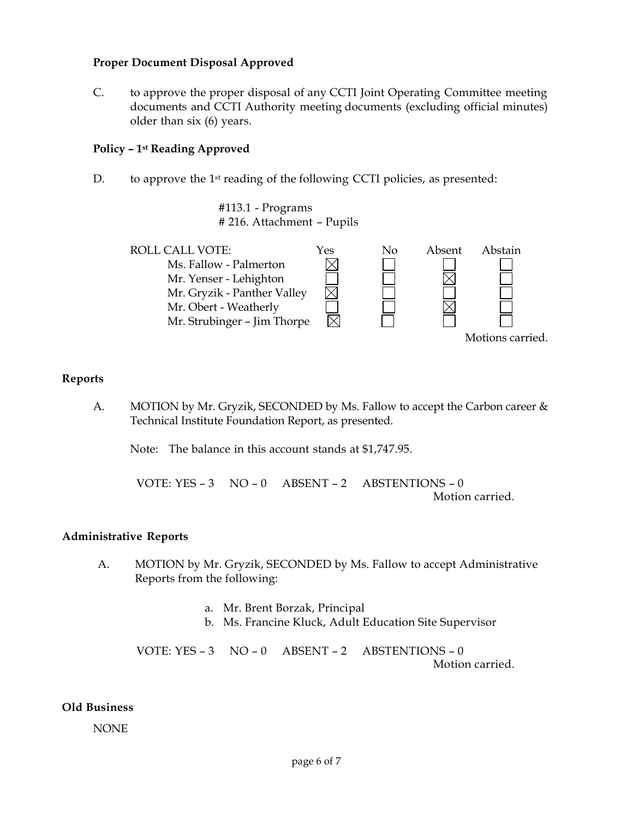#### **Proper Document Disposal Approved**

C. to approve the proper disposal of any CCTI Joint Operating Committee meeting documents and CCTI Authority meeting documents (excluding official minutes) older than six (6) years.

#### **Policy – 1st Reading Approved**

D. to approve the 1<sup>st</sup> reading of the following CCTI policies, as presented:

#113.1 - Programs # 216. Attachment – Pupils



#### **Reports**

A. MOTION by Mr. Gryzik, SECONDED by Ms. Fallow to accept the Carbon career & Technical Institute Foundation Report, as presented.

Note: The balance in this account stands at \$1,747.95.

VOTE: YES – 3 NO – 0 ABSENT – 2 ABSTENTIONS – 0 Motion carried.

#### **Administrative Reports**

- A. MOTION by Mr. Gryzik, SECONDED by Ms. Fallow to accept Administrative Reports from the following:
	- a. Mr. Brent Borzak, Principal
	- b. Ms. Francine Kluck, Adult Education Site Supervisor

VOTE: YES – 3 NO – 0 ABSENT – 2 ABSTENTIONS – 0 Motion carried.

#### **Old Business**

NONE